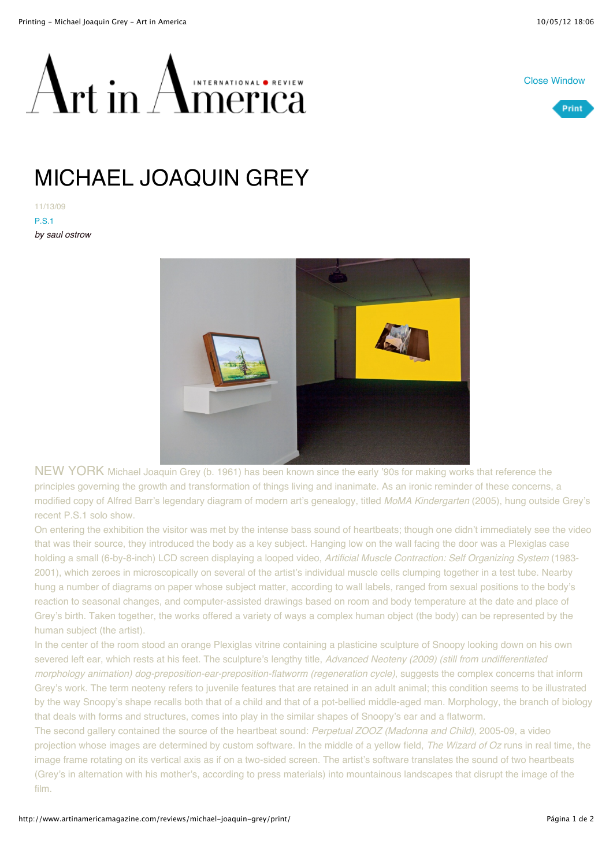



 $\alpha$ rt in  $\sqrt{2}$ AMERNATIONAL OREVIEW

## MICHAEL JOAQUIN GREY

11/13/09 P.S.1 *by saul ostrow*



NEW YORK Michael Joaquin Grey (b. 1961) has been known since the early '90s for making works that reference the principles governing the growth and transformation of things living and inanimate. As an ironic reminder of these concerns, a modified copy of Alfred Barr's legendary diagram of modern art's genealogy, titled *MoMA Kindergarten* (2005), hung outside Grey's recent P.S.1 solo show.

On entering the exhibition the visitor was met by the intense bass sound of heartbeats; though one didn't immediately see the video that was their source, they introduced the body as a key subject. Hanging low on the wall facing the door was a Plexiglas case holding a small (6-by-8-inch) LCD screen displaying a looped video, *Artificial Muscle Contraction: Self Organizing System* (1983- 2001), which zeroes in microscopically on several of the artist's individual muscle cells clumping together in a test tube. Nearby hung a number of diagrams on paper whose subject matter, according to wall labels, ranged from sexual positions to the body's reaction to seasonal changes, and computer-assisted drawings based on room and body temperature at the date and place of Grey's birth. Taken together, the works offered a variety of ways a complex human object (the body) can be represented by the human subject (the artist).

In the center of the room stood an orange Plexiglas vitrine containing a plasticine sculpture of Snoopy looking down on his own severed left ear, which rests at his feet. The sculpture's lengthy title, *Advanced Neoteny (2009) (still from undifferentiated morphology animation) dog-preposition-ear-preposition-flatworm (regeneration cycle)*, suggests the complex concerns that inform Grey's work. The term neoteny refers to juvenile features that are retained in an adult animal; this condition seems to be illustrated by the way Snoopy's shape recalls both that of a child and that of a pot-bellied middle-aged man. Morphology, the branch of biology that deals with forms and structures, comes into play in the similar shapes of Snoopy's ear and a flatworm.

The second gallery contained the source of the heartbeat sound: *Perpetual ZOOZ (Madonna and Child)*, 2005-09, a video projection whose images are determined by custom software. In the middle of a yellow field, *The Wizard of Oz* runs in real time, the image frame rotating on its vertical axis as if on a two-sided screen. The artist's software translates the sound of two heartbeats (Grey's in alternation with his mother's, according to press materials) into mountainous landscapes that disrupt the image of the film.